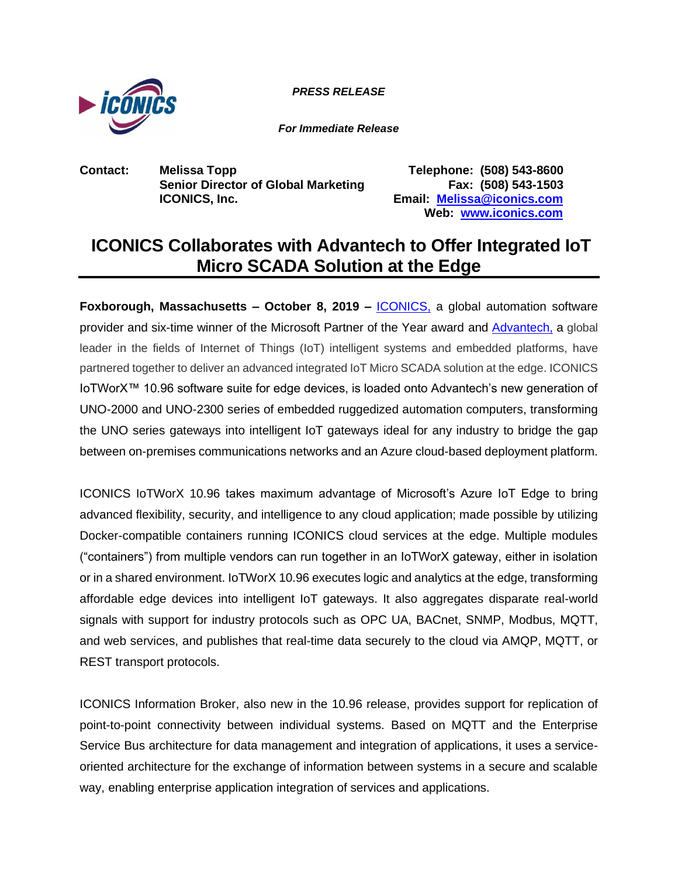

*PRESS RELEASE*

*For Immediate Release*

**Contact: Melissa Topp Telephone: (508) 543-8600 Senior Director of Global Marketing Fax: (508) 543-1503 ICONICS, Inc. Email: [Melissa@iconics.com](mailto:Melissa@iconics.com)**

**Web: [www.iconics.com](http://www.iconics.com/)**

## **ICONICS Collaborates with Advantech to Offer Integrated IoT Micro SCADA Solution at the Edge**

**Foxborough, Massachusetts - October 8, 2019 - <b>ICONICS**, a global automation software provider and six-time winner of the Microsoft Partner of the Year award and [Advantech,](http://www.advantech.com/) a global leader in the fields of Internet of Things (IoT) intelligent systems and embedded platforms, have partnered together to deliver an advanced integrated IoT Micro SCADA solution at the edge. ICONICS IoTWorX™ 10.96 software suite for edge devices, is loaded onto Advantech's new generation of UNO-2000 and UNO-2300 series of embedded ruggedized automation computers, transforming the UNO series gateways into intelligent IoT gateways ideal for any industry to bridge the gap between on-premises communications networks and an Azure cloud-based deployment platform.

ICONICS IoTWorX 10.96 takes maximum advantage of Microsoft's Azure IoT Edge to bring advanced flexibility, security, and intelligence to any cloud application; made possible by utilizing Docker-compatible containers running ICONICS cloud services at the edge. Multiple modules ("containers") from multiple vendors can run together in an IoTWorX gateway, either in isolation or in a shared environment. IoTWorX 10.96 executes logic and analytics at the edge, transforming affordable edge devices into intelligent IoT gateways. It also aggregates disparate real-world signals with support for industry protocols such as OPC UA, BACnet, SNMP, Modbus, MQTT, and web services, and publishes that real-time data securely to the cloud via AMQP, MQTT, or REST transport protocols.

ICONICS Information Broker, also new in the 10.96 release, provides support for replication of point-to-point connectivity between individual systems. Based on MQTT and the Enterprise Service Bus architecture for data management and integration of applications, it uses a serviceoriented architecture for the exchange of information between systems in a secure and scalable way, enabling enterprise application integration of services and applications.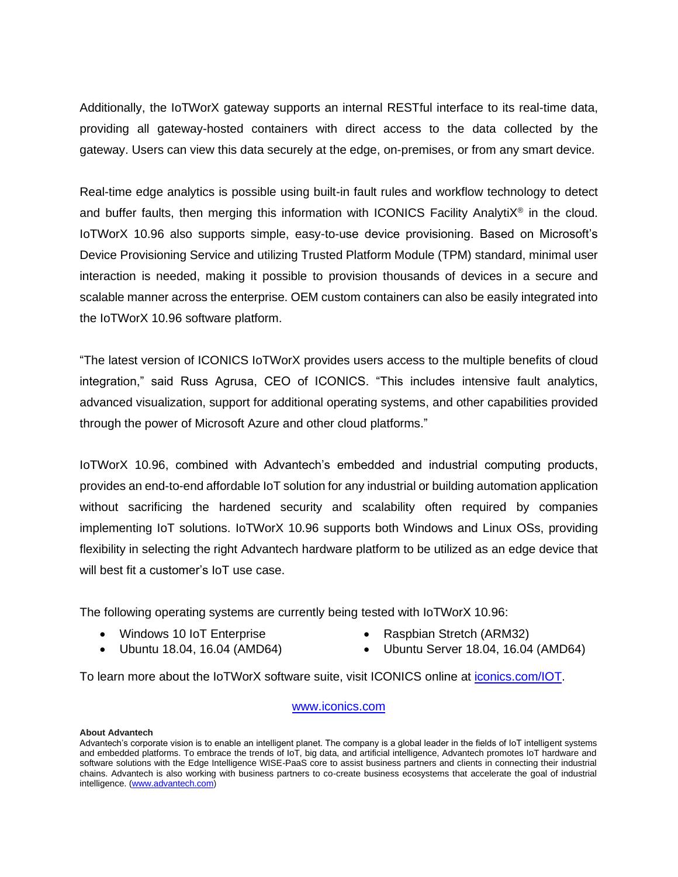Additionally, the IoTWorX gateway supports an internal RESTful interface to its real-time data, providing all gateway-hosted containers with direct access to the data collected by the gateway. Users can view this data securely at the edge, on-premises, or from any smart device.

Real-time edge analytics is possible using built-in fault rules and workflow technology to detect and buffer faults, then merging this information with ICONICS Facility Analyti $X^{\circledast}$  in the cloud. IoTWorX 10.96 also supports simple, easy-to-use device provisioning. Based on Microsoft's Device Provisioning Service and utilizing Trusted Platform Module (TPM) standard, minimal user interaction is needed, making it possible to provision thousands of devices in a secure and scalable manner across the enterprise. OEM custom containers can also be easily integrated into the IoTWorX 10.96 software platform.

"The latest version of ICONICS IoTWorX provides users access to the multiple benefits of cloud integration," said Russ Agrusa, CEO of ICONICS. "This includes intensive fault analytics, advanced visualization, support for additional operating systems, and other capabilities provided through the power of Microsoft Azure and other cloud platforms."

IoTWorX 10.96, combined with Advantech's embedded and industrial computing products, provides an end-to-end affordable IoT solution for any industrial or building automation application without sacrificing the hardened security and scalability often required by companies implementing IoT solutions. IoTWorX 10.96 supports both Windows and Linux OSs, providing flexibility in selecting the right Advantech hardware platform to be utilized as an edge device that will best fit a customer's IoT use case.

The following operating systems are currently being tested with IoTWorX 10.96:

- Windows 10 IoT Enterprise
- Raspbian Stretch (ARM32)
- Ubuntu 18.04, 16.04 (AMD64)
- 
- Ubuntu Server 18.04, 16.04 (AMD64)

To learn more about the IoTWorX software suite, visit ICONICS online at [iconics.com/IOT.](https://iconics.com/IOT)

## [www.iconics.com](file:///C:/Users/timd.NT1/Desktop/AHR%20Press/www.iconics.com)

## **About Advantech**

Advantech's corporate vision is to enable an intelligent planet. The company is a global leader in the fields of IoT intelligent systems and embedded platforms. To embrace the trends of IoT, big data, and artificial intelligence, Advantech promotes IoT hardware and software solutions with the Edge Intelligence WISE-PaaS core to assist business partners and clients in connecting their industrial chains. Advantech is also working with business partners to co-create business ecosystems that accelerate the goal of industrial intelligence. [\(www.advantech.com\)](http://www.advantech.com/)